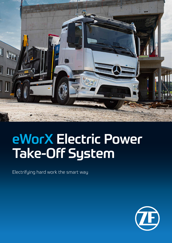

# eWorX Electric Power Take-Off System

Electrifying hard work the smart way

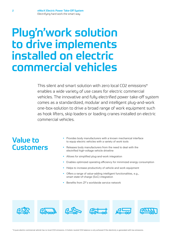## Plug'n'work solution to drive implements installed on electric commercial vehicles

This silent and smart solution with zero local CO2 emissions\* enables a wide variety of use cases for electric commercial vehicles. The innovative and fully electrified power take-off system comes as a standardized, modular and intelligent plug-and-work one-box-solution to drive a broad range of work equipment such as hook lifters, skip loaders or loading cranes installed on electric commercial vehicles.

#### Value to **Customers**

- Provides body manufacturers with a known mechanical interface to equip electric vehicles with a variety of work tools
- Releases body manufacturers from the need to deal with the electrified high-voltage vehicle driveline
- Allows for simplified plug-and-work integration
- Enables optimized operating efficiency for minimized energy consumption
- Helps to increase productivity of vehicle and work equipment
- Offers a range of value-adding intelligent functionalities, e.g., smart state-of-charge (SoC) integration
- Benefits from ZF's worldwide service network

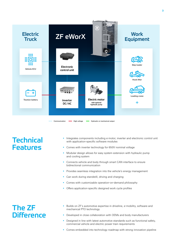

### **Technical** Features

- Integrates components including e-motor, inverter and electronic control unit with application-specific software modules
- Comes with inverter technology for 650V nominal voltage
- Modular design allows for easy system extension with hydraulic pump and cooling system
- Connects vehicle and body through smart CAN interface to ensure bidirectional communication
- Provides seamless integration into the vehicle's energy management
- Can work during standstill, driving and charging
- Comes with customizable operation-on-demand philosophy
- Offers application-specific designed work cycle profiles

### The ZF **Difference**

- Builds on ZF's automotive expertise in driveline, e-mobility, software and mechanical PTO technology
- Developed in close collaboration with OEMs and body manufacturers
- Designed in line with latest automotive standards such as functional safety, commercial vehicle and electric power train requirements
- Comes embedded into technology roadmap with strong innovation pipeline